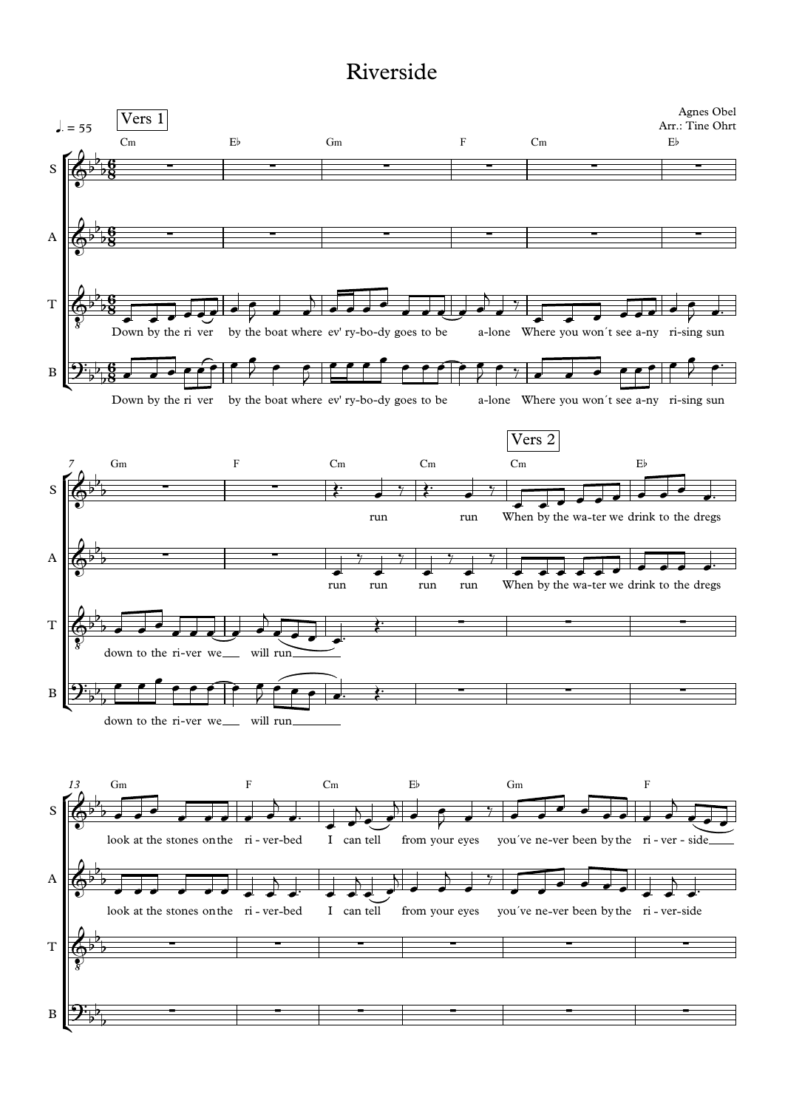## Riverside

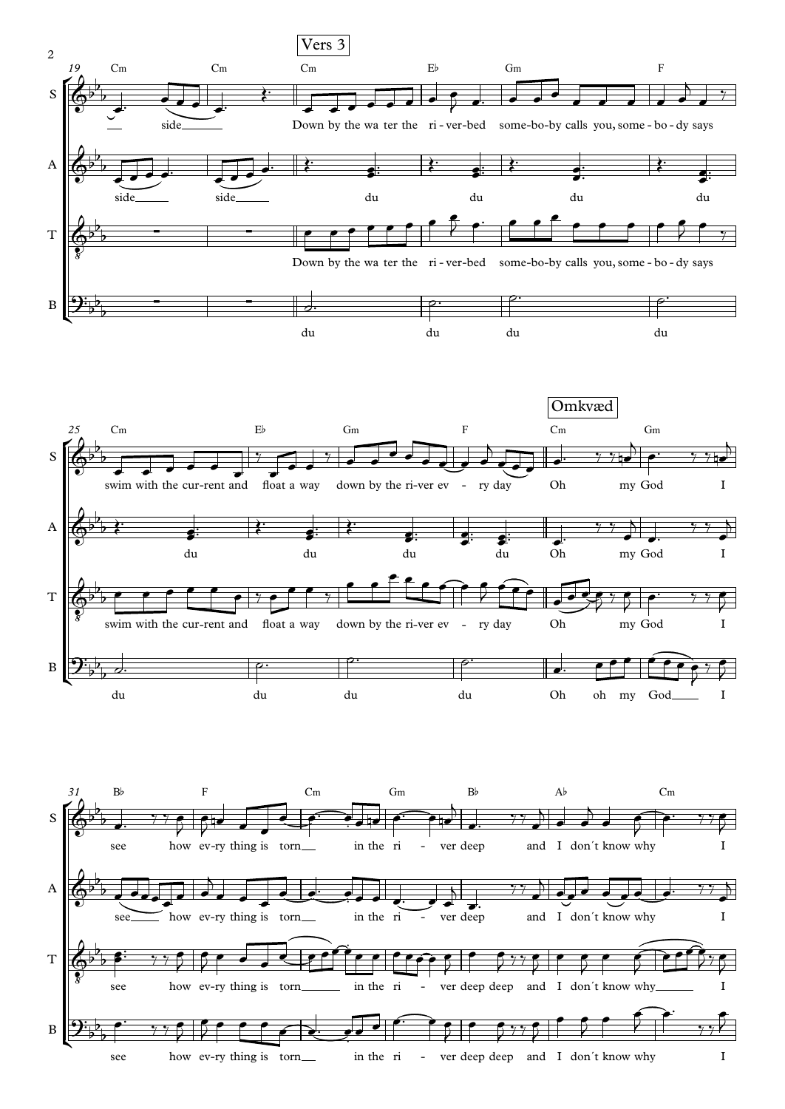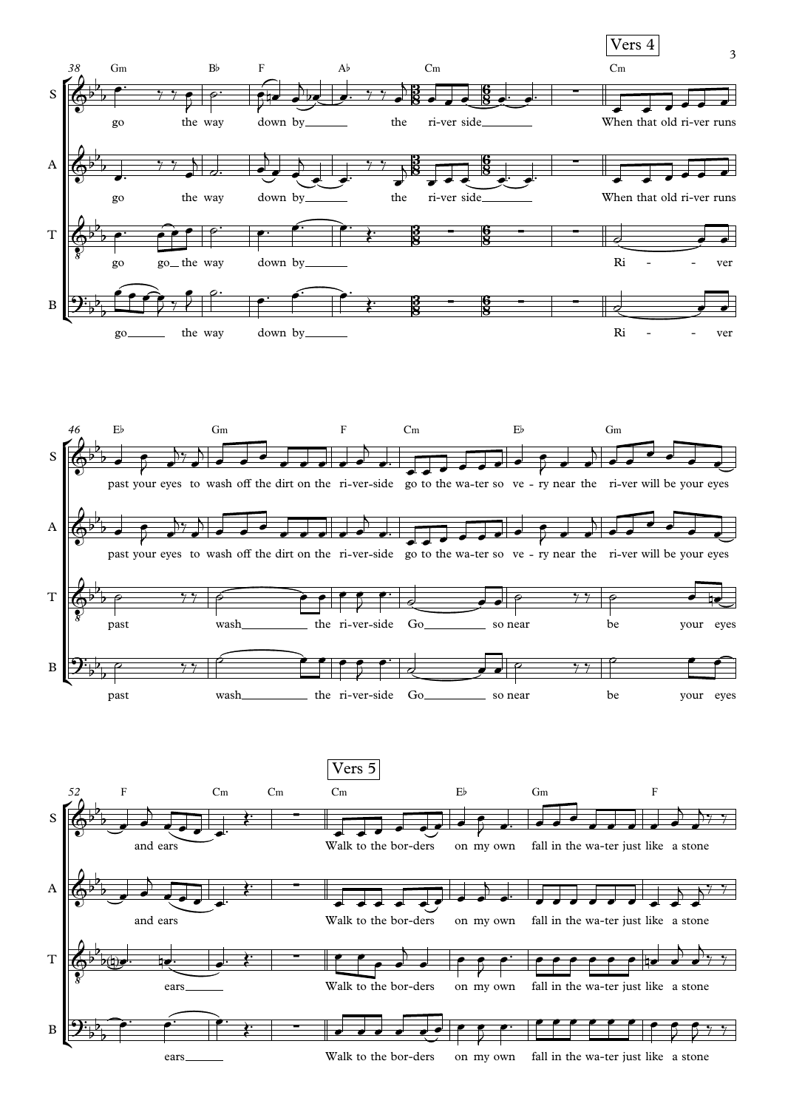

ears Walk to the bor-ders on my own fall in the wa-ter just like a stone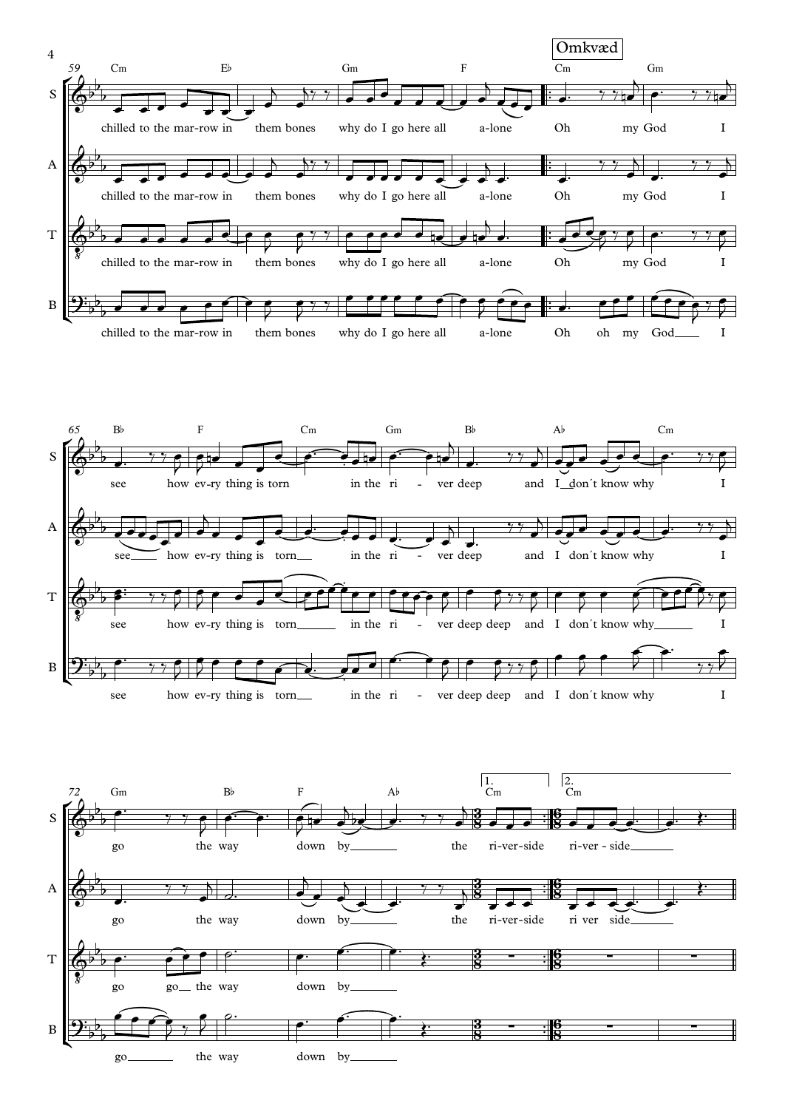